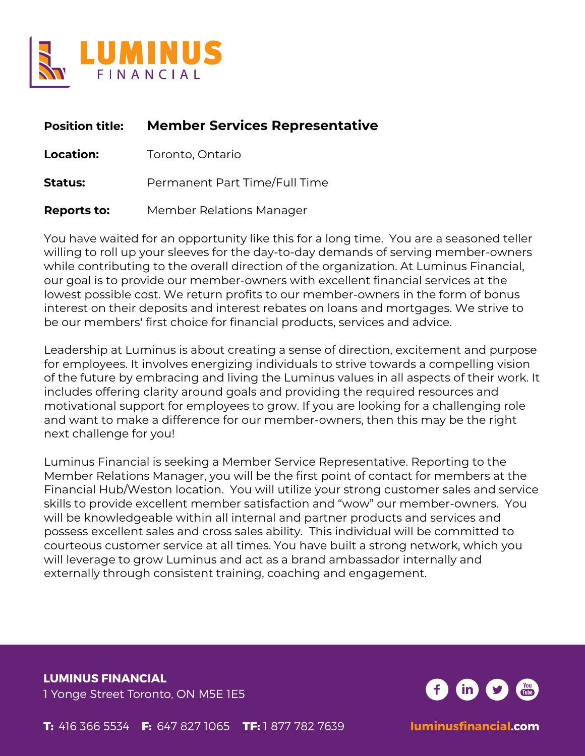

# **Position title: Member Services Representative**

**Location:** Toronto, Ontario

**Status:** Permanent Part Time/Full Time

**Reports to:** Member Relations Manager

You have waited for an opportunity like this for a long time. You are a seasoned teller willing to roll up your sleeves for the day-to-day demands of serving member-owners while contributing to the overall direction of the organization. At Luminus Financial, our goal is to provide our member-owners with excellent financial services at the lowest possible cost. We return profits to our member-owners in the form of bonus interest on their deposits and interest rebates on loans and mortgages. We strive to be our members' first choice for financial products, services and advice.

Leadership at Luminus is about creating a sense of direction, excitement and purpose for employees. It involves energizing individuals to strive towards a compelling vision of the future by embracing and living the Luminus values in all aspects of their work. It includes offering clarity around goals and providing the required resources and motivational support for employees to grow. If you are looking for a challenging role and want to make a difference for our member-owners, then this may be the right next challenge for you!

Luminus Financial is seeking a Member Service Representative. Reporting to the Member Relations Manager, you will be the first point of contact for members at the Financial Hub/Weston location. You will utilize your strong customer sales and service skills to provide excellent member satisfaction and "wow" our member-owners. You will be knowledgeable within all internal and partner products and services and possess excellent sales and cross sales ability. This individual will be committed to courteous customer service at all times. You have built a strong network, which you will leverage to grow Luminus and act as a brand ambassador internally and externally through consistent training, coaching and engagement.

**LUMINUS FINANCIAL** 1 Yonge Street Toronto, ON M5E 1E5

**T:** 416 366 5534 **F:** 647 827 1065 **TF:** 1 877 782 7639 **luminusfinancial.com**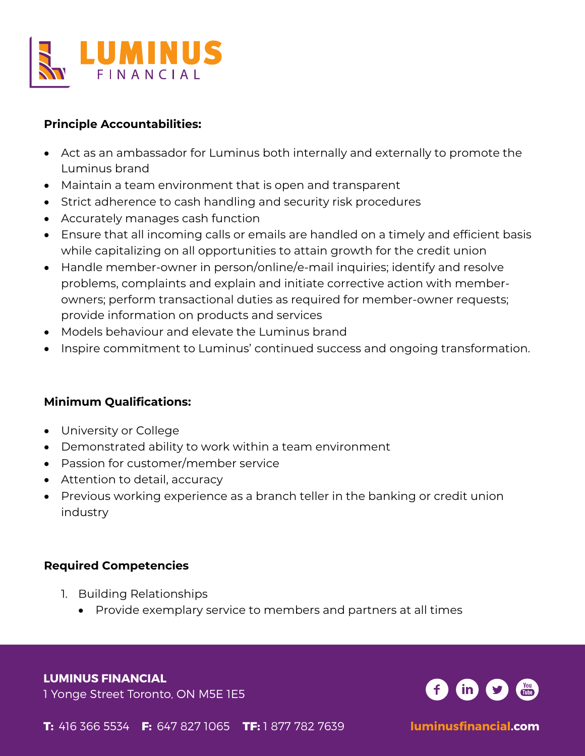

#### **Principle Accountabilities:**

- Act as an ambassador for Luminus both internally and externally to promote the Luminus brand
- Maintain a team environment that is open and transparent
- Strict adherence to cash handling and security risk procedures
- Accurately manages cash function
- Ensure that all incoming calls or emails are handled on a timely and efficient basis while capitalizing on all opportunities to attain growth for the credit union
- Handle member-owner in person/online/e-mail inquiries; identify and resolve problems, complaints and explain and initiate corrective action with memberowners; perform transactional duties as required for member-owner requests; provide information on products and services
- Models behaviour and elevate the Luminus brand
- Inspire commitment to Luminus' continued success and ongoing transformation.

## **Minimum Qualifications:**

- University or College
- Demonstrated ability to work within a team environment
- Passion for customer/member service
- Attention to detail, accuracy
- Previous working experience as a branch teller in the banking or credit union industry

## **Required Competencies**

- 1. Building Relationships
	- Provide exemplary service to members and partners at all times

#### **LUMINUS FINANCIAL**

1 Yonge Street Toronto, ON M5E 1E5



**T:** 416 366 5534 **F:** 647 827 1065 **TF:** 1 877 782 7639 **luminusfinancial.com**